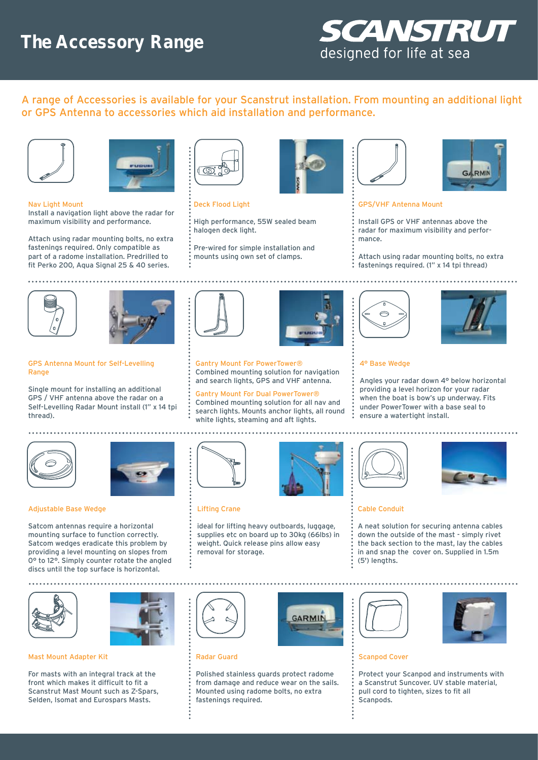# **The Accessory Range**



A range of Accessories is available for your Scanstrut installation. From mounting an additional light or GPS Antenna to accessories which aid installation and performance.





### Nav Light Mount

Install a navigation light above the radar for maximum visibility and performance.

Attach using radar mounting bolts, no extra fastenings required. Only compatible as part of a radome installation. Predrilled to fit Perko 200, Aqua Signal 25 & 40 series.



#### Deck Flood Light

- High performance, 55W sealed beam halogen deck light.
- Pre-wired for simple installation and mounts using own set of clamps.







## GPS/VHF Antenna Mount

Install GPS or VHF antennas above the radar for maximum visibility and performance.

Attach using radar mounting bolts, no extra fastenings required. (1" x 14 tpi thread)





#### GPS Antenna Mount for Self-Levelling Range

Single mount for installing an additional GPS / VHF antenna above the radar on a Self-Levelling Radar Mount install (1" x 14 tpi thread).





and search lights, GPS and VHF antenna. Gantry Mount For Dual PowerTower® Combined mounting solution for all nav and search lights. Mounts anchor lights, all round

white lights, steaming and aft lights.





## 4° Base Wedge

Angles your radar down 4° below horizontal providing a level horizon for your radar when the boat is bow's up underway. Fits under PowerTower with a base seal to ensure a watertight install.





#### Adjustable Base Wedge

Satcom antennas require a horizontal mounting surface to function correctly. Satcom wedges eradicate this problem by providing a level mounting on slopes from 0° to 12°. Simply counter rotate the angled discs until the top surface is horizontal.



# Lifting Crane

ideal for lifting heavy outboards, luggage, supplies etc on board up to 30kg (66lbs) in weight. Quick release pins allow easy removal for storage.



**GARMIN** 





#### Cable Conduit

A neat solution for securing antenna cables down the outside of the mast - simply rivet the back section to the mast, lay the cables in and snap the cover on. Supplied in 1.5m (5') lengths.



Mast Mount Adapter Kit

For masts with an integral track at the front which makes it difficult to fit a Scanstrut Mast Mount such as Z-Spars, Selden, Isomat and Eurospars Masts.



# Radar Guard

Polished stainless guards protect radome from damage and reduce wear on the sails. Mounted using radome bolts, no extra fastenings required.





Scanpod Cover

Protect your Scanpod and instruments with a Scanstrut Suncover. UV stable material, pull cord to tighten, sizes to fit all **Scannods**